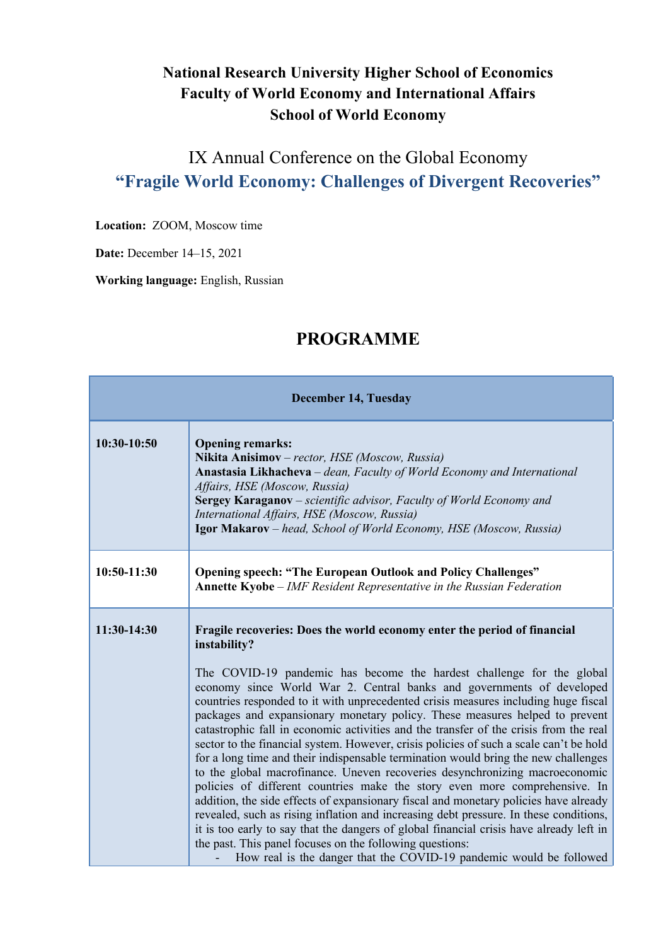## **National Research University Higher School of Economics Faculty of World Economy and International Affairs School of World Economy**

## IX Annual Conference on the Global Economy **"Fragile World Economy: Challenges of Divergent Recoveries"**

**Location:** ZOOM, Moscow time

**Date:** December 14–15, 2021

**Working language:** English, Russian

## **December 14, Tuesday 10:30-10:50 Opening remarks: Nikita Anisimov** – *rector, HSE (Moscow, Russia)* **Anastasia Likhacheva** *– dean, Faculty of World Economy and International Affairs, HSE (Moscow, Russia)* **Sergey Karaganov** *– scientific advisor, Faculty of World Economy and International Affairs, HSE (Moscow, Russia)* **Igor Makarov** *– head, School of World Economy, HSE (Moscow, Russia)* **10:50-11:30 Opening speech: "The European Outlook and Policy Challenges" Annette Kyobe** – *IMF Resident Representative in the Russian Federation* **11:30-14:30 Fragile recoveries: Does the world economy enter the period of financial instability?** The COVID-19 pandemic has become the hardest challenge for the global economy since World War 2. Central banks and governments of developed countries responded to it with unprecedented crisis measures including huge fiscal packages and expansionary monetary policy. These measures helped to prevent catastrophic fall in economic activities and the transfer of the crisis from the real sector to the financial system. However, crisis policies of such a scale can't be hold for a long time and their indispensable termination would bring the new challenges to the global macrofinance. Uneven recoveries desynchronizing macroeconomic policies of different countries make the story even more comprehensive. In addition, the side effects of expansionary fiscal and monetary policies have already revealed, such as rising inflation and increasing debt pressure. In these conditions, it is too early to say that the dangers of global financial crisis have already left in the past. This panel focuses on the following questions: How real is the danger that the COVID-19 pandemic would be followed

## **PROGRAMME**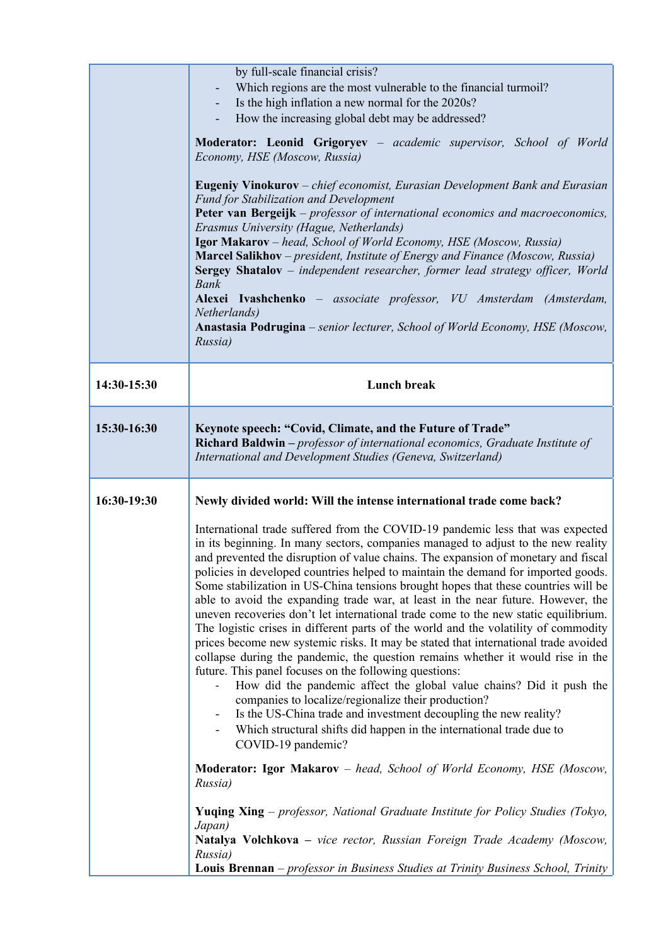|             | by full-scale financial crisis?<br>Which regions are the most vulnerable to the financial turmoil?<br>Is the high inflation a new normal for the 2020s?<br>How the increasing global debt may be addressed?<br>Moderator: Leonid Grigoryev - academic supervisor, School of World<br>Economy, HSE (Moscow, Russia)<br><b>Eugeniy Vinokurov</b> – chief economist, Eurasian Development Bank and Eurasian<br>Fund for Stabilization and Development<br>Peter van Bergeijk – professor of international economics and macroeconomics,<br>Erasmus University (Hague, Netherlands)<br>Igor Makarov - head, School of World Economy, HSE (Moscow, Russia)<br>Marcel Salikhov - president, Institute of Energy and Finance (Moscow, Russia)<br>Sergey Shatalov - independent researcher, former lead strategy officer, World<br><b>Bank</b><br>Alexei Ivashchenko - associate professor, VU Amsterdam (Amsterdam,<br>Netherlands)<br>Anastasia Podrugina – senior lecturer, School of World Economy, HSE (Moscow,<br>Russia)                                                                                                                                                                                                                                                                                                                                                                                                                                                                                                                                                                                                                                                                 |
|-------------|----------------------------------------------------------------------------------------------------------------------------------------------------------------------------------------------------------------------------------------------------------------------------------------------------------------------------------------------------------------------------------------------------------------------------------------------------------------------------------------------------------------------------------------------------------------------------------------------------------------------------------------------------------------------------------------------------------------------------------------------------------------------------------------------------------------------------------------------------------------------------------------------------------------------------------------------------------------------------------------------------------------------------------------------------------------------------------------------------------------------------------------------------------------------------------------------------------------------------------------------------------------------------------------------------------------------------------------------------------------------------------------------------------------------------------------------------------------------------------------------------------------------------------------------------------------------------------------------------------------------------------------------------------------------------------------|
| 14:30-15:30 | <b>Lunch break</b>                                                                                                                                                                                                                                                                                                                                                                                                                                                                                                                                                                                                                                                                                                                                                                                                                                                                                                                                                                                                                                                                                                                                                                                                                                                                                                                                                                                                                                                                                                                                                                                                                                                                     |
| 15:30-16:30 | Keynote speech: "Covid, Climate, and the Future of Trade"<br>Richard Baldwin - professor of international economics, Graduate Institute of<br>International and Development Studies (Geneva, Switzerland)                                                                                                                                                                                                                                                                                                                                                                                                                                                                                                                                                                                                                                                                                                                                                                                                                                                                                                                                                                                                                                                                                                                                                                                                                                                                                                                                                                                                                                                                              |
| 16:30-19:30 | Newly divided world: Will the intense international trade come back?<br>International trade suffered from the COVID-19 pandemic less that was expected<br>in its beginning. In many sectors, companies managed to adjust to the new reality<br>and prevented the disruption of value chains. The expansion of monetary and fiscal<br>policies in developed countries helped to maintain the demand for imported goods.<br>Some stabilization in US-China tensions brought hopes that these countries will be<br>able to avoid the expanding trade war, at least in the near future. However, the<br>uneven recoveries don't let international trade come to the new static equilibrium.<br>The logistic crises in different parts of the world and the volatility of commodity<br>prices become new systemic risks. It may be stated that international trade avoided<br>collapse during the pandemic, the question remains whether it would rise in the<br>future. This panel focuses on the following questions:<br>How did the pandemic affect the global value chains? Did it push the<br>companies to localize/regionalize their production?<br>Is the US-China trade and investment decoupling the new reality?<br>Which structural shifts did happen in the international trade due to<br>COVID-19 pandemic?<br>Moderator: Igor Makarov - head, School of World Economy, HSE (Moscow,<br>Russia)<br><b>Yuqing Xing</b> – professor, National Graduate Institute for Policy Studies (Tokyo,<br>Japan)<br>Natalya Volchkova - vice rector, Russian Foreign Trade Academy (Moscow,<br>Russia)<br>Louis Brennan – professor in Business Studies at Trinity Business School, Trinity |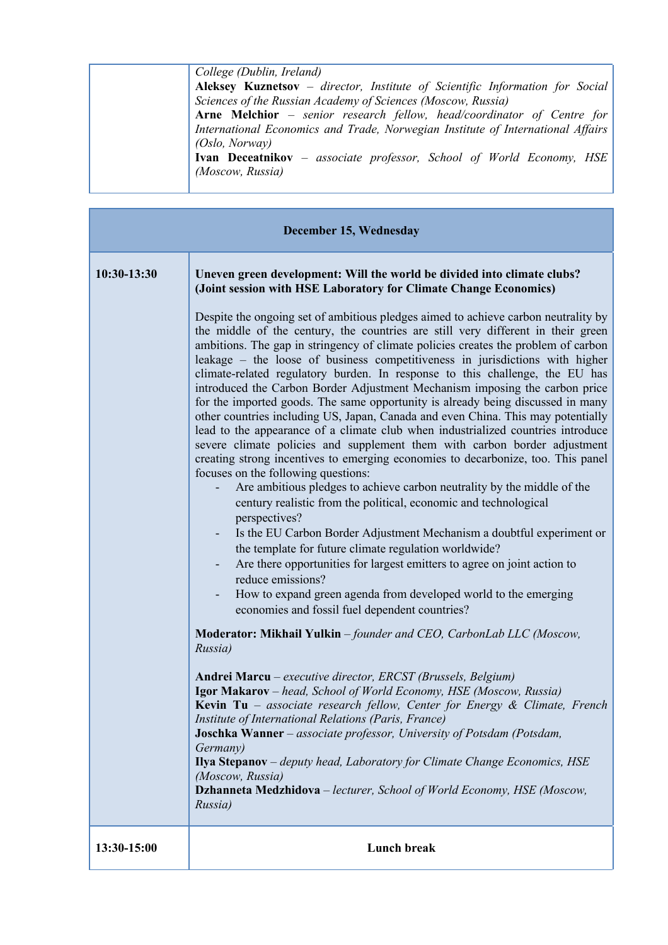| College (Dublin, Ireland)                                                       |
|---------------------------------------------------------------------------------|
| Aleksey Kuznetsov - director, Institute of Scientific Information for Social    |
| Sciences of the Russian Academy of Sciences (Moscow, Russia)                    |
| Arne Melchior - senior research fellow, head/coordinator of Centre for          |
| International Economics and Trade, Norwegian Institute of International Affairs |
| (Oslo, Norway)                                                                  |
| <b>Ivan Deceatnikov</b> – associate professor, School of World Economy, HSE     |
| (Moscow, Russia)                                                                |
|                                                                                 |

| December 15, Wednesday |                                                                                                                                                                                                                                                                                                                                                                                                                                                                                                                                                                                                                                                                                                                                                                                                                                                                                                                                                                                                                                                                                                                                                                                                                                                                                                                                                                                                                                                                                                        |  |
|------------------------|--------------------------------------------------------------------------------------------------------------------------------------------------------------------------------------------------------------------------------------------------------------------------------------------------------------------------------------------------------------------------------------------------------------------------------------------------------------------------------------------------------------------------------------------------------------------------------------------------------------------------------------------------------------------------------------------------------------------------------------------------------------------------------------------------------------------------------------------------------------------------------------------------------------------------------------------------------------------------------------------------------------------------------------------------------------------------------------------------------------------------------------------------------------------------------------------------------------------------------------------------------------------------------------------------------------------------------------------------------------------------------------------------------------------------------------------------------------------------------------------------------|--|
| 10:30-13:30            | Uneven green development: Will the world be divided into climate clubs?<br>(Joint session with HSE Laboratory for Climate Change Economics)                                                                                                                                                                                                                                                                                                                                                                                                                                                                                                                                                                                                                                                                                                                                                                                                                                                                                                                                                                                                                                                                                                                                                                                                                                                                                                                                                            |  |
|                        | Despite the ongoing set of ambitious pledges aimed to achieve carbon neutrality by<br>the middle of the century, the countries are still very different in their green<br>ambitions. The gap in stringency of climate policies creates the problem of carbon<br>leakage – the loose of business competitiveness in jurisdictions with higher<br>climate-related regulatory burden. In response to this challenge, the EU has<br>introduced the Carbon Border Adjustment Mechanism imposing the carbon price<br>for the imported goods. The same opportunity is already being discussed in many<br>other countries including US, Japan, Canada and even China. This may potentially<br>lead to the appearance of a climate club when industrialized countries introduce<br>severe climate policies and supplement them with carbon border adjustment<br>creating strong incentives to emerging economies to decarbonize, too. This panel<br>focuses on the following questions:<br>Are ambitious pledges to achieve carbon neutrality by the middle of the<br>century realistic from the political, economic and technological<br>perspectives?<br>Is the EU Carbon Border Adjustment Mechanism a doubtful experiment or<br>the template for future climate regulation worldwide?<br>Are there opportunities for largest emitters to agree on joint action to<br>reduce emissions?<br>How to expand green agenda from developed world to the emerging<br>economies and fossil fuel dependent countries? |  |
|                        | Moderator: Mikhail Yulkin - founder and CEO, CarbonLab LLC (Moscow,<br>Russia)                                                                                                                                                                                                                                                                                                                                                                                                                                                                                                                                                                                                                                                                                                                                                                                                                                                                                                                                                                                                                                                                                                                                                                                                                                                                                                                                                                                                                         |  |
|                        | Andrei Marcu - executive director, ERCST (Brussels, Belgium)<br>Igor Makarov - head, School of World Economy, HSE (Moscow, Russia)<br>Kevin Tu - associate research fellow, Center for Energy & Climate, French<br>Institute of International Relations (Paris, France)<br><b>Joschka Wanner</b> – associate professor, University of Potsdam (Potsdam,<br>Germany)<br>Ilya Stepanov - deputy head, Laboratory for Climate Change Economics, HSE<br>(Moscow, Russia)<br><b>Dzhanneta Medzhidova</b> - lecturer, School of World Economy, HSE (Moscow,<br>Russia)                                                                                                                                                                                                                                                                                                                                                                                                                                                                                                                                                                                                                                                                                                                                                                                                                                                                                                                                       |  |
| 13:30-15:00            | <b>Lunch break</b>                                                                                                                                                                                                                                                                                                                                                                                                                                                                                                                                                                                                                                                                                                                                                                                                                                                                                                                                                                                                                                                                                                                                                                                                                                                                                                                                                                                                                                                                                     |  |